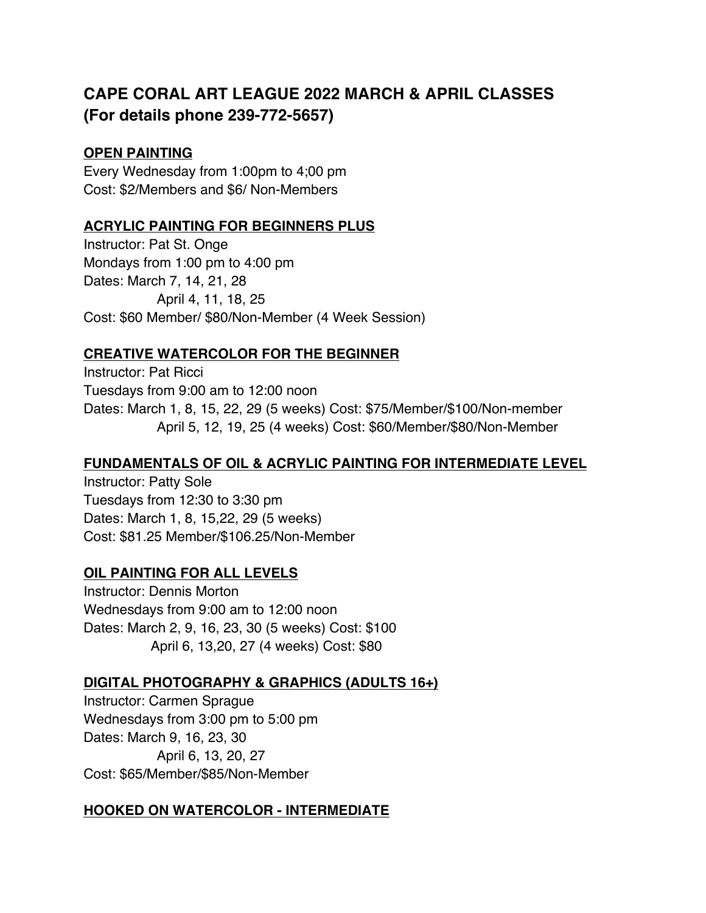# **CAPE CORAL ART LEAGUE 2022 MARCH & APRIL CLASSES (For details phone 239-772-5657)**

#### **OPEN PAINTING**

Every Wednesday from 1:00pm to 4;00 pm Cost: \$2/Members and \$6/ Non-Members

#### **ACRYLIC PAINTING FOR BEGINNERS PLUS**

Instructor: Pat St. Onge Mondays from 1:00 pm to 4:00 pm Dates: March 7, 14, 21, 28 April 4, 11, 18, 25 Cost: \$60 Member/ \$80/Non-Member (4 Week Session)

## **CREATIVE WATERCOLOR FOR THE BEGINNER**

Instructor: Pat Ricci Tuesdays from 9:00 am to 12:00 noon Dates: March 1, 8, 15, 22, 29 (5 weeks) Cost: \$75/Member/\$100/Non-member April 5, 12, 19, 25 (4 weeks) Cost: \$60/Member/\$80/Non-Member

#### **FUNDAMENTALS OF OIL & ACRYLIC PAINTING FOR INTERMEDIATE LEVEL**

Instructor: Patty Sole Tuesdays from 12:30 to 3:30 pm Dates: March 1, 8, 15,22, 29 (5 weeks) Cost: \$81.25 Member/\$106.25/Non-Member

## **OIL PAINTING FOR ALL LEVELS**

Instructor: Dennis Morton Wednesdays from 9:00 am to 12:00 noon Dates: March 2, 9, 16, 23, 30 (5 weeks) Cost: \$100 April 6, 13,20, 27 (4 weeks) Cost: \$80

## **DIGITAL PHOTOGRAPHY & GRAPHICS (ADULTS 16+)**

Instructor: Carmen Sprague Wednesdays from 3:00 pm to 5:00 pm Dates: March 9, 16, 23, 30 April 6, 13, 20, 27 Cost: \$65/Member/\$85/Non-Member

## **HOOKED ON WATERCOLOR - INTERMEDIATE**